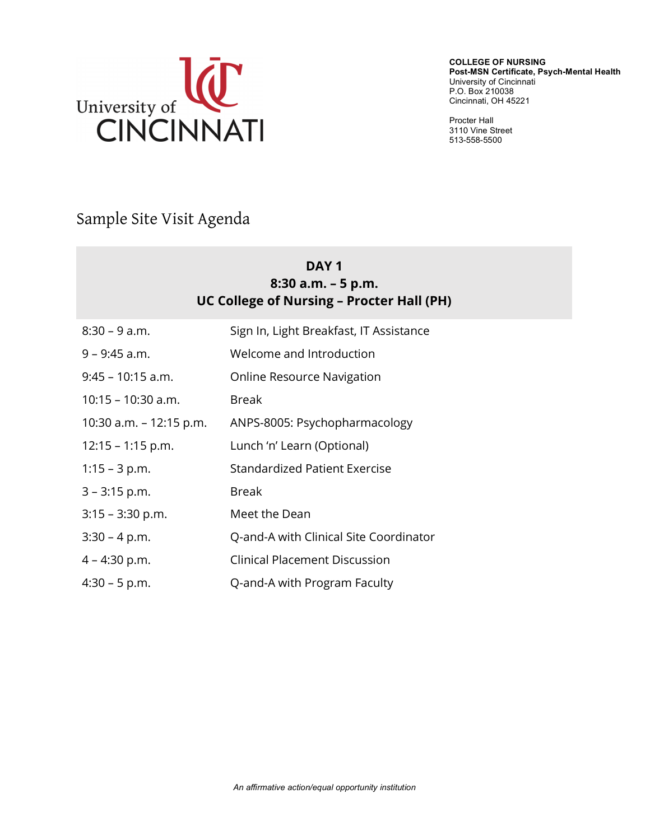

 **COLLEGE OF NURSING**  University of Cincinnati P.O. Box 210038 **Post-MSN Certificate, Psych-Mental Health**  Cincinnati, OH 45221

Procter Hall 3110 Vine Street 513-558-5500

## Sample Site Visit Agenda

## **8:30 a.m. – 5 p.m. UC College of Nursing – Procter Hall (PH) DAY 1**

| $8:30 - 9$ a.m.          | Sign In, Light Breakfast, IT Assistance |
|--------------------------|-----------------------------------------|
| $9 - 9:45$ a.m.          | Welcome and Introduction                |
| $9:45 - 10:15$ a.m.      | <b>Online Resource Navigation</b>       |
| $10:15 - 10:30$ a.m.     | Break                                   |
| 10:30 a.m. $-12:15$ p.m. | ANPS-8005: Psychopharmacology           |
| $12:15 - 1:15$ p.m.      | Lunch 'n' Learn (Optional)              |
| $1:15 - 3$ p.m.          | Standardized Patient Exercise           |
| $3 - 3:15$ p.m.          | <b>Break</b>                            |
| $3:15 - 3:30$ p.m.       | Meet the Dean                           |
| $3:30 - 4 p.m.$          | Q-and-A with Clinical Site Coordinator  |
| $4 - 4:30$ p.m.          | <b>Clinical Placement Discussion</b>    |
| $4:30 - 5$ p.m.          | Q-and-A with Program Faculty            |